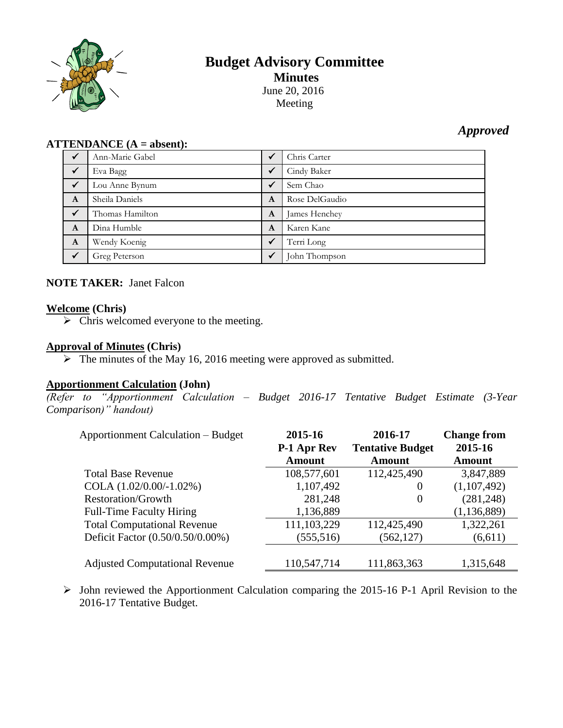

# **Budget Advisory Committee Minutes** June 20, 2016

Meeting

# *Approved*

#### **ATTENDANCE (A = absent):**

|   | Ann-Marie Gabel |              | Chris Carter   |
|---|-----------------|--------------|----------------|
|   | Eva Bagg        | ✔            | Cindy Baker    |
|   | Lou Anne Bynum  | ✔            | Sem Chao       |
| A | Sheila Daniels  | A            | Rose DelGaudio |
|   | Thomas Hamilton | A            | James Henchey  |
| A | Dina Humble     | A            | Karen Kane     |
| A | Wendy Koenig    | ✔            | Terri Long     |
|   | Greg Peterson   | $\checkmark$ | John Thompson  |

# **NOTE TAKER:** Janet Falcon

### **Welcome (Chris)**

 $\triangleright$  Chris welcomed everyone to the meeting.

#### **Approval of Minutes (Chris)**

 $\triangleright$  The minutes of the May 16, 2016 meeting were approved as submitted.

# **Apportionment Calculation (John)**

*(Refer to "Apportionment Calculation – Budget 2016-17 Tentative Budget Estimate (3-Year Comparison)" handout)*

| <b>Apportionment Calculation – Budget</b> | 2015-16<br><b>P-1 Apr Rev</b><br><b>Amount</b> | 2016-17<br><b>Tentative Budget</b><br><b>Amount</b> | <b>Change from</b><br>2015-16<br><b>Amount</b> |
|-------------------------------------------|------------------------------------------------|-----------------------------------------------------|------------------------------------------------|
| <b>Total Base Revenue</b>                 | 108,577,601                                    | 112,425,490                                         | 3,847,889                                      |
| COLA $(1.02/0.00/-1.02%)$                 | 1,107,492                                      | $\theta$                                            | (1,107,492)                                    |
| <b>Restoration/Growth</b>                 | 281,248                                        | $\theta$                                            | (281, 248)                                     |
| Full-Time Faculty Hiring                  | 1,136,889                                      |                                                     | (1, 136, 889)                                  |
| <b>Total Computational Revenue</b>        | 111,103,229                                    | 112,425,490                                         | 1,322,261                                      |
| Deficit Factor (0.50/0.50/0.00%)          | (555,516)                                      | (562, 127)                                          | (6,611)                                        |
| <b>Adjusted Computational Revenue</b>     | 110,547,714                                    | 111,863,363                                         | 1,315,648                                      |

 $\triangleright$  John reviewed the Apportionment Calculation comparing the 2015-16 P-1 April Revision to the 2016-17 Tentative Budget.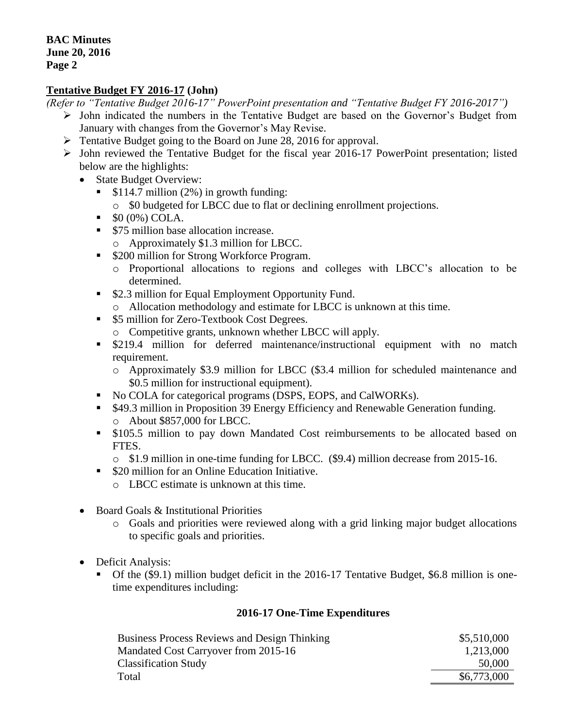#### **Tentative Budget FY 2016-17 (John)**

*(Refer to "Tentative Budget 2016-17" PowerPoint presentation and "Tentative Budget FY 2016-2017")*

- $\triangleright$  John indicated the numbers in the Tentative Budget are based on the Governor's Budget from January with changes from the Governor's May Revise.
- Fentative Budget going to the Board on June 28, 2016 for approval.
- $\triangleright$  John reviewed the Tentative Budget for the fiscal year 2016-17 PowerPoint presentation; listed below are the highlights:
	- State Budget Overview:
		- \$114.7 million (2%) in growth funding:
			- o \$0 budgeted for LBCC due to flat or declining enrollment projections.
		- \$0 (0%) COLA.
		- **S75 million base allocation increase.** 
			- o Approximately \$1.3 million for LBCC.
		- \$200 million for Strong Workforce Program.
			- o Proportional allocations to regions and colleges with LBCC's allocation to be determined.
		- \$2.3 million for Equal Employment Opportunity Fund.
			- o Allocation methodology and estimate for LBCC is unknown at this time.
		- \$5 million for Zero-Textbook Cost Degrees.
			- o Competitive grants, unknown whether LBCC will apply.
		- **•** \$219.4 million for deferred maintenance/instructional equipment with no match requirement.
			- o Approximately \$3.9 million for LBCC (\$3.4 million for scheduled maintenance and \$0.5 million for instructional equipment).
		- No COLA for categorical programs (DSPS, EOPS, and CalWORKs).
		- \$49.3 million in Proposition 39 Energy Efficiency and Renewable Generation funding. o About \$857,000 for LBCC.
		- **5105.5 million to pay down Mandated Cost reimbursements to be allocated based on** FTES.
			- o \$1.9 million in one-time funding for LBCC. (\$9.4) million decrease from 2015-16.
		- \$20 million for an Online Education Initiative.
			- o LBCC estimate is unknown at this time.
	- Board Goals & Institutional Priorities
		- o Goals and priorities were reviewed along with a grid linking major budget allocations to specific goals and priorities.
	- Deficit Analysis:
		- Of the (\$9.1) million budget deficit in the 2016-17 Tentative Budget, \$6.8 million is onetime expenditures including:

#### **2016-17 One-Time Expenditures**

| <b>Business Process Reviews and Design Thinking</b> | \$5,510,000 |
|-----------------------------------------------------|-------------|
| Mandated Cost Carryover from 2015-16                | 1,213,000   |
| <b>Classification Study</b>                         | 50,000      |
| Total                                               | \$6,773,000 |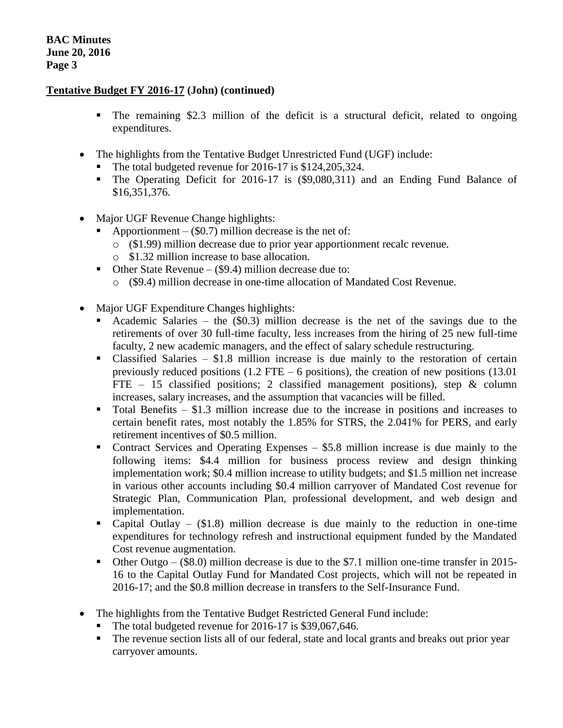#### **Tentative Budget FY 2016-17 (John) (continued)**

- The remaining \$2.3 million of the deficit is a structural deficit, related to ongoing expenditures.
- The highlights from the Tentative Budget Unrestricted Fund (UGF) include:
	- The total budgeted revenue for 2016-17 is \$124,205,324.
	- The Operating Deficit for 2016-17 is (\$9,080,311) and an Ending Fund Balance of \$16,351,376.
- Major UGF Revenue Change highlights:
	- Apportionment  $(\$0.7)$  million decrease is the net of:
		- o (\$1.99) million decrease due to prior year apportionment recalc revenue.
		- o \$1.32 million increase to base allocation.
	- $\blacksquare$  Other State Revenue (\$9.4) million decrease due to:
		- o (\$9.4) million decrease in one-time allocation of Mandated Cost Revenue.
- Major UGF Expenditure Changes highlights:
	- Academic Salaries the (\$0.3) million decrease is the net of the savings due to the retirements of over 30 full-time faculty, less increases from the hiring of 25 new full-time faculty, 2 new academic managers, and the effect of salary schedule restructuring.
	- Classified Salaries \$1.8 million increase is due mainly to the restoration of certain previously reduced positions  $(1.2$  FTE – 6 positions), the creation of new positions  $(13.01)$ FTE – 15 classified positions; 2 classified management positions), step  $\&$  column increases, salary increases, and the assumption that vacancies will be filled.
	- $\blacksquare$  Total Benefits \$1.3 million increase due to the increase in positions and increases to certain benefit rates, most notably the 1.85% for STRS, the 2.041% for PERS, and early retirement incentives of \$0.5 million.
	- Contract Services and Operating Expenses \$5.8 million increase is due mainly to the following items: \$4.4 million for business process review and design thinking implementation work; \$0.4 million increase to utility budgets; and \$1.5 million net increase in various other accounts including \$0.4 million carryover of Mandated Cost revenue for Strategic Plan, Communication Plan, professional development, and web design and implementation.
	- Capital Outlay  $(\$1.8)$  million decrease is due mainly to the reduction in one-time expenditures for technology refresh and instructional equipment funded by the Mandated Cost revenue augmentation.
	- Other Outgo  $(\$8.0)$  million decrease is due to the \$7.1 million one-time transfer in 2015-16 to the Capital Outlay Fund for Mandated Cost projects, which will not be repeated in 2016-17; and the \$0.8 million decrease in transfers to the Self-Insurance Fund.
- The highlights from the Tentative Budget Restricted General Fund include:
	- The total budgeted revenue for 2016-17 is \$39,067,646.
	- The revenue section lists all of our federal, state and local grants and breaks out prior year carryover amounts.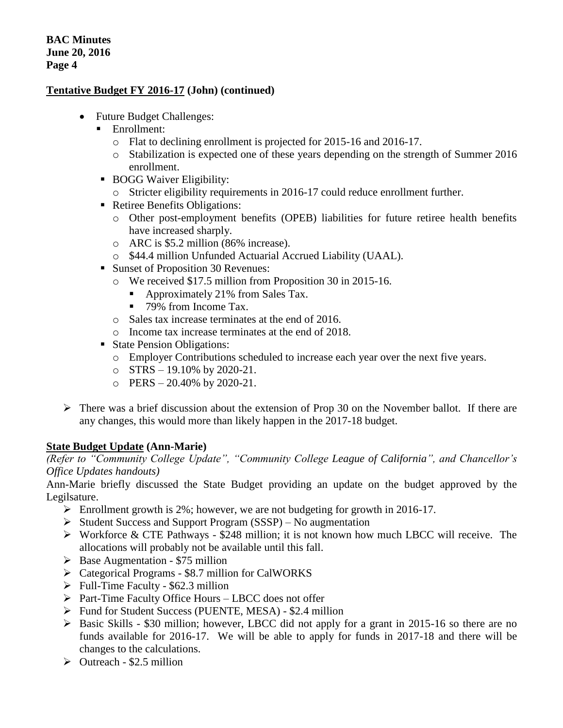### **Tentative Budget FY 2016-17 (John) (continued)**

- Future Budget Challenges:
	- **Enrollment:** 
		- o Flat to declining enrollment is projected for 2015-16 and 2016-17.
		- o Stabilization is expected one of these years depending on the strength of Summer 2016 enrollment.
	- BOGG Waiver Eligibility:
		- o Stricter eligibility requirements in 2016-17 could reduce enrollment further.
	- Retiree Benefits Obligations:
		- o Other post-employment benefits (OPEB) liabilities for future retiree health benefits have increased sharply.
		- o ARC is \$5.2 million (86% increase).
		- o \$44.4 million Unfunded Actuarial Accrued Liability (UAAL).
	- Sunset of Proposition 30 Revenues:
		- o We received \$17.5 million from Proposition 30 in 2015-16.
			- Approximately 21% from Sales Tax.
			- 79% from Income Tax.
		- o Sales tax increase terminates at the end of 2016.
		- o Income tax increase terminates at the end of 2018.
	- State Pension Obligations:
		- o Employer Contributions scheduled to increase each year over the next five years.
		- $\circ$  STRS 19.10% by 2020-21.
		- $O$  PERS 20.40% by 2020-21.
- $\triangleright$  There was a brief discussion about the extension of Prop 30 on the November ballot. If there are any changes, this would more than likely happen in the 2017-18 budget.

# **State Budget Update (Ann-Marie)**

*(Refer to "Community College Update", "Community College League of California", and Chancellor's Office Updates handouts)*

Ann-Marie briefly discussed the State Budget providing an update on the budget approved by the Legilsature.

- Enrollment growth is 2%; however, we are not budgeting for growth in 2016-17.
- $\triangleright$  Student Success and Support Program (SSSP) No augmentation
- $\triangleright$  Workforce & CTE Pathways \$248 million; it is not known how much LBCC will receive. The allocations will probably not be available until this fall.
- $\triangleright$  Base Augmentation \$75 million
- Categorical Programs \$8.7 million for CalWORKS
- $\triangleright$  Full-Time Faculty \$62.3 million
- $\triangleright$  Part-Time Faculty Office Hours LBCC does not offer
- $\triangleright$  Fund for Student Success (PUENTE, MESA) \$2.4 million
- $\triangleright$  Basic Skills \$30 million; however, LBCC did not apply for a grant in 2015-16 so there are no funds available for 2016-17. We will be able to apply for funds in 2017-18 and there will be changes to the calculations.
- $\triangleright$  Outreach \$2.5 million